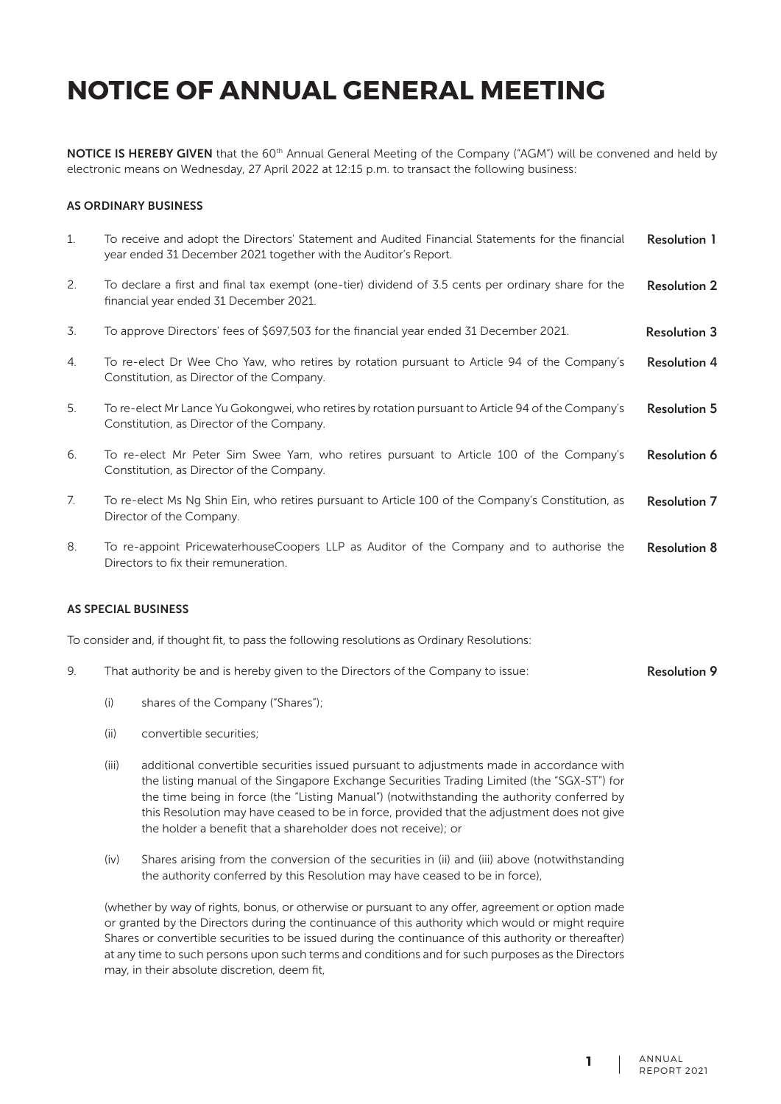NOTICE IS HEREBY GIVEN that the 60<sup>th</sup> Annual General Meeting of the Company ("AGM") will be convened and held by electronic means on Wednesday, 27 April 2022 at 12:15 p.m. to transact the following business:

#### AS ORDINARY BUSINESS

| 1. | To receive and adopt the Directors' Statement and Audited Financial Statements for the financial<br>year ended 31 December 2021 together with the Auditor's Report. | <b>Resolution 1</b> |
|----|---------------------------------------------------------------------------------------------------------------------------------------------------------------------|---------------------|
| 2. | To declare a first and final tax exempt (one-tier) dividend of 3.5 cents per ordinary share for the<br>financial year ended 31 December 2021.                       | <b>Resolution 2</b> |
| 3. | To approve Directors' fees of \$697,503 for the financial year ended 31 December 2021.                                                                              | <b>Resolution 3</b> |
| 4. | To re-elect Dr Wee Cho Yaw, who retires by rotation pursuant to Article 94 of the Company's<br>Constitution, as Director of the Company.                            | <b>Resolution 4</b> |
| 5. | To re-elect Mr Lance Yu Gokongwei, who retires by rotation pursuant to Article 94 of the Company's<br>Constitution, as Director of the Company.                     | <b>Resolution 5</b> |
| 6. | To re-elect Mr Peter Sim Swee Yam, who retires pursuant to Article 100 of the Company's<br>Constitution, as Director of the Company.                                | <b>Resolution 6</b> |
| 7. | To re-elect Ms Ng Shin Ein, who retires pursuant to Article 100 of the Company's Constitution, as<br>Director of the Company.                                       | <b>Resolution 7</b> |
| 8. | To re-appoint PricewaterhouseCoopers LLP as Auditor of the Company and to authorise the                                                                             | <b>Resolution 8</b> |

#### AS SPECIAL BUSINESS

To consider and, if thought fit, to pass the following resolutions as Ordinary Resolutions:

- 9. That authority be and is hereby given to the Directors of the Company to issue: Resolution 9
	- (i) shares of the Company ("Shares");
	- (ii) convertible securities;

Directors to fix their remuneration.

- (iii) additional convertible securities issued pursuant to adjustments made in accordance with the listing manual of the Singapore Exchange Securities Trading Limited (the "SGX-ST") for the time being in force (the "Listing Manual") (notwithstanding the authority conferred by this Resolution may have ceased to be in force, provided that the adjustment does not give the holder a benefit that a shareholder does not receive); or
- (iv) Shares arising from the conversion of the securities in (ii) and (iii) above (notwithstanding the authority conferred by this Resolution may have ceased to be in force),

(whether by way of rights, bonus, or otherwise or pursuant to any offer, agreement or option made or granted by the Directors during the continuance of this authority which would or might require Shares or convertible securities to be issued during the continuance of this authority or thereafter) at any time to such persons upon such terms and conditions and for such purposes as the Directors may, in their absolute discretion, deem fit,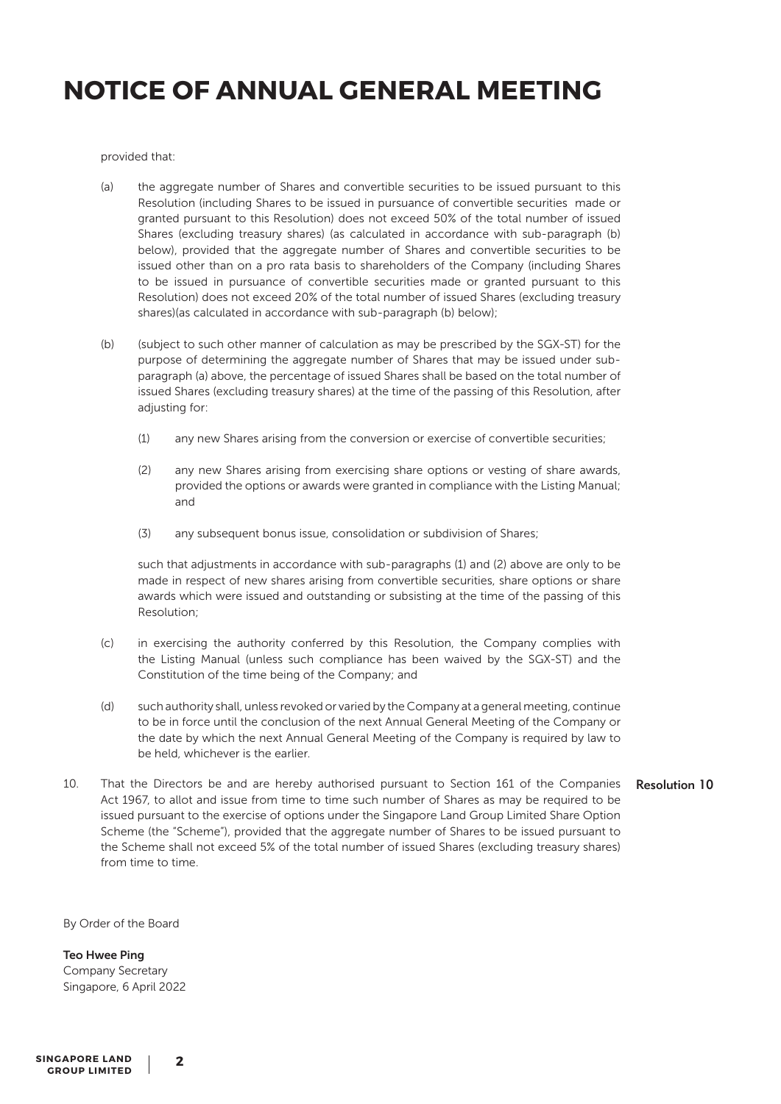provided that:

- (a) the aggregate number of Shares and convertible securities to be issued pursuant to this Resolution (including Shares to be issued in pursuance of convertible securities made or granted pursuant to this Resolution) does not exceed 50% of the total number of issued Shares (excluding treasury shares) (as calculated in accordance with sub-paragraph (b) below), provided that the aggregate number of Shares and convertible securities to be issued other than on a pro rata basis to shareholders of the Company (including Shares to be issued in pursuance of convertible securities made or granted pursuant to this Resolution) does not exceed 20% of the total number of issued Shares (excluding treasury shares)(as calculated in accordance with sub-paragraph (b) below);
- (b) (subject to such other manner of calculation as may be prescribed by the SGX-ST) for the purpose of determining the aggregate number of Shares that may be issued under subparagraph (a) above, the percentage of issued Shares shall be based on the total number of issued Shares (excluding treasury shares) at the time of the passing of this Resolution, after adjusting for:
	- (1) any new Shares arising from the conversion or exercise of convertible securities;
	- (2) any new Shares arising from exercising share options or vesting of share awards, provided the options or awards were granted in compliance with the Listing Manual; and
	- (3) any subsequent bonus issue, consolidation or subdivision of Shares;

such that adjustments in accordance with sub-paragraphs (1) and (2) above are only to be made in respect of new shares arising from convertible securities, share options or share awards which were issued and outstanding or subsisting at the time of the passing of this Resolution;

- (c) in exercising the authority conferred by this Resolution, the Company complies with the Listing Manual (unless such compliance has been waived by the SGX-ST) and the Constitution of the time being of the Company; and
- (d) such authority shall, unless revoked or varied by the Company at a general meeting, continue to be in force until the conclusion of the next Annual General Meeting of the Company or the date by which the next Annual General Meeting of the Company is required by law to be held, whichever is the earlier.
- 10. That the Directors be and are hereby authorised pursuant to Section 161 of the Companies Act 1967, to allot and issue from time to time such number of Shares as may be required to be issued pursuant to the exercise of options under the Singapore Land Group Limited Share Option Scheme (the "Scheme"), provided that the aggregate number of Shares to be issued pursuant to the Scheme shall not exceed 5% of the total number of issued Shares (excluding treasury shares) from time to time. Resolution 10

By Order of the Board

Teo Hwee Ping Company Secretary Singapore, 6 April 2022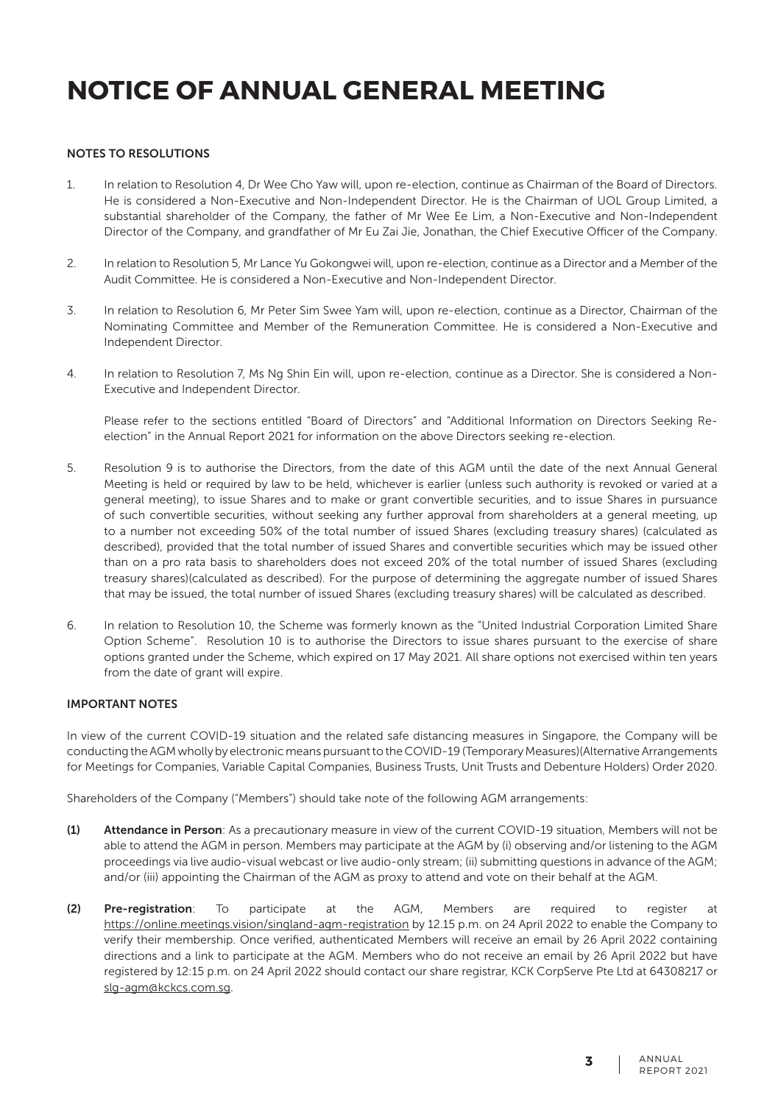### NOTES TO RESOLUTIONS

- 1. In relation to Resolution 4, Dr Wee Cho Yaw will, upon re-election, continue as Chairman of the Board of Directors. He is considered a Non-Executive and Non-Independent Director. He is the Chairman of UOL Group Limited, a substantial shareholder of the Company, the father of Mr Wee Ee Lim, a Non-Executive and Non-Independent Director of the Company, and grandfather of Mr Eu Zai Jie, Jonathan, the Chief Executive Officer of the Company.
- 2. In relation to Resolution 5, Mr Lance Yu Gokongwei will, upon re-election, continue as a Director and a Member of the Audit Committee. He is considered a Non-Executive and Non-Independent Director.
- 3. In relation to Resolution 6, Mr Peter Sim Swee Yam will, upon re-election, continue as a Director, Chairman of the Nominating Committee and Member of the Remuneration Committee. He is considered a Non-Executive and Independent Director.
- 4. In relation to Resolution 7, Ms Ng Shin Ein will, upon re-election, continue as a Director. She is considered a Non-Executive and Independent Director.

Please refer to the sections entitled "Board of Directors" and "Additional Information on Directors Seeking Reelection" in the Annual Report 2021 for information on the above Directors seeking re-election.

- 5. Resolution 9 is to authorise the Directors, from the date of this AGM until the date of the next Annual General Meeting is held or required by law to be held, whichever is earlier (unless such authority is revoked or varied at a general meeting), to issue Shares and to make or grant convertible securities, and to issue Shares in pursuance of such convertible securities, without seeking any further approval from shareholders at a general meeting, up to a number not exceeding 50% of the total number of issued Shares (excluding treasury shares) (calculated as described), provided that the total number of issued Shares and convertible securities which may be issued other than on a pro rata basis to shareholders does not exceed 20% of the total number of issued Shares (excluding treasury shares)(calculated as described). For the purpose of determining the aggregate number of issued Shares that may be issued, the total number of issued Shares (excluding treasury shares) will be calculated as described.
- 6. In relation to Resolution 10, the Scheme was formerly known as the "United Industrial Corporation Limited Share Option Scheme". Resolution 10 is to authorise the Directors to issue shares pursuant to the exercise of share options granted under the Scheme, which expired on 17 May 2021. All share options not exercised within ten years from the date of grant will expire.

#### IMPORTANT NOTES

In view of the current COVID-19 situation and the related safe distancing measures in Singapore, the Company will be conducting the AGM wholly by electronic means pursuant to the COVID-19 (Temporary Measures)(Alternative Arrangements for Meetings for Companies, Variable Capital Companies, Business Trusts, Unit Trusts and Debenture Holders) Order 2020.

Shareholders of the Company ("Members") should take note of the following AGM arrangements:

- (1) Attendance in Person: As a precautionary measure in view of the current COVID-19 situation, Members will not be able to attend the AGM in person. Members may participate at the AGM by (i) observing and/or listening to the AGM proceedings via live audio-visual webcast or live audio-only stream; (ii) submitting questions in advance of the AGM; and/or (iii) appointing the Chairman of the AGM as proxy to attend and vote on their behalf at the AGM.
- (2) Pre-registration: To participate at the AGM, Members are required to register at https://online.meetings.vision/singland-agm-registration by 12.15 p.m. on 24 April 2022 to enable the Company to verify their membership. Once verified, authenticated Members will receive an email by 26 April 2022 containing directions and a link to participate at the AGM. Members who do not receive an email by 26 April 2022 but have registered by 12:15 p.m. on 24 April 2022 should contact our share registrar, KCK CorpServe Pte Ltd at 64308217 or slg-agm@kckcs.com.sg.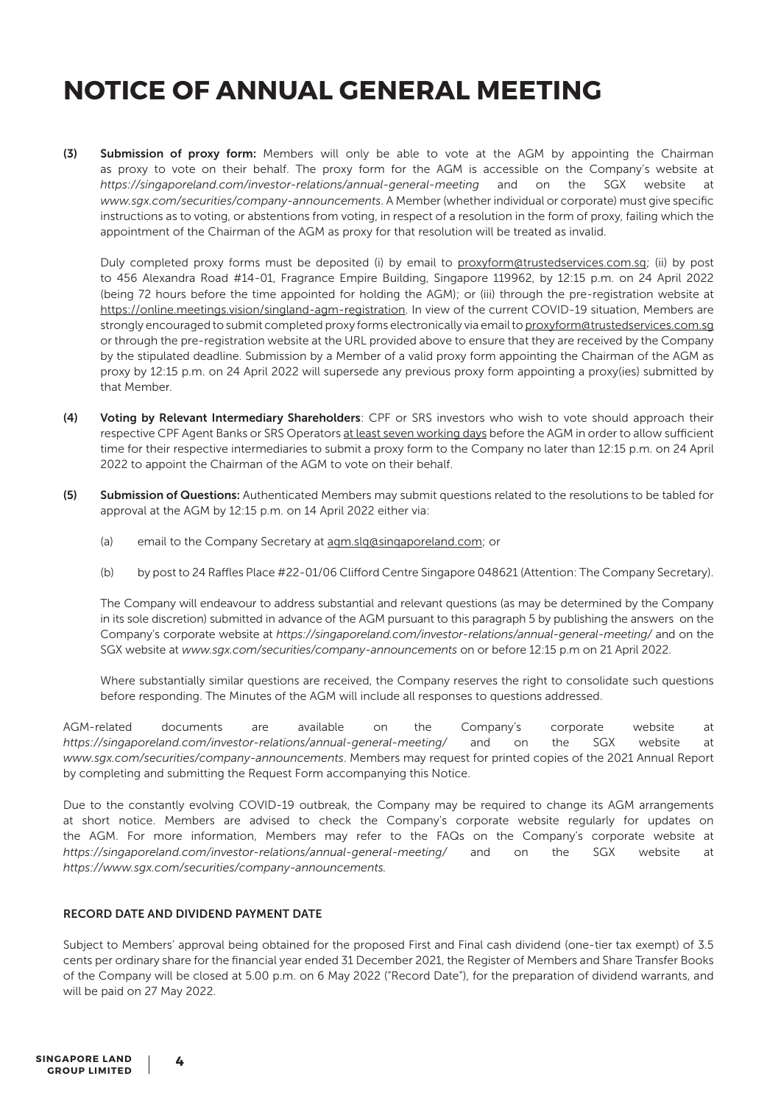(3) Submission of proxy form: Members will only be able to vote at the AGM by appointing the Chairman as proxy to vote on their behalf. The proxy form for the AGM is accessible on the Company's website at *https://singaporeland.com/investor-relations/annual-general-meeting* and on the SGX website at *www.sgx.com/securities/company-announcements*. A Member (whether individual or corporate) must give specific instructions as to voting, or abstentions from voting, in respect of a resolution in the form of proxy, failing which the appointment of the Chairman of the AGM as proxy for that resolution will be treated as invalid.

Duly completed proxy forms must be deposited (i) by email to proxyform@trustedservices.com.sg; (ii) by post to 456 Alexandra Road #14-01, Fragrance Empire Building, Singapore 119962, by 12:15 p.m. on 24 April 2022 (being 72 hours before the time appointed for holding the AGM); or (iii) through the pre-registration website at https://online.meetings.vision/singland-agm-registration. In view of the current COVID-19 situation, Members are strongly encouraged to submit completed proxy forms electronically via email to proxyform@trustedservices.com.sg or through the pre-registration website at the URL provided above to ensure that they are received by the Company by the stipulated deadline. Submission by a Member of a valid proxy form appointing the Chairman of the AGM as proxy by 12:15 p.m. on 24 April 2022 will supersede any previous proxy form appointing a proxy(ies) submitted by that Member.

- (4) Voting by Relevant Intermediary Shareholders: CPF or SRS investors who wish to vote should approach their respective CPF Agent Banks or SRS Operators at least seven working days before the AGM in order to allow sufficient time for their respective intermediaries to submit a proxy form to the Company no later than 12:15 p.m. on 24 April 2022 to appoint the Chairman of the AGM to vote on their behalf.
- (5) Submission of Questions: Authenticated Members may submit questions related to the resolutions to be tabled for approval at the AGM by 12:15 p.m. on 14 April 2022 either via:
	- (a) email to the Company Secretary at agm.slg@singaporeland.com; or
	- (b) by post to 24 Raffles Place #22-01/06 Clifford Centre Singapore 048621 (Attention: The Company Secretary).

The Company will endeavour to address substantial and relevant questions (as may be determined by the Company in its sole discretion) submitted in advance of the AGM pursuant to this paragraph 5 by publishing the answers on the Company's corporate website at *https://singaporeland.com/investor-relations/annual-general-meeting/* and on the SGX website at *www.sgx.com/securities/company-announcements* on or before 12:15 p.m on 21 April 2022.

Where substantially similar questions are received, the Company reserves the right to consolidate such questions before responding. The Minutes of the AGM will include all responses to questions addressed.

AGM-related documents are available on the Company's corporate website at *https://singaporeland.com/investor-relations/annual-general-meeting/* and on the SGX website at *www.sgx.com/securities/company-announcements*. Members may request for printed copies of the 2021 Annual Report by completing and submitting the Request Form accompanying this Notice.

Due to the constantly evolving COVID-19 outbreak, the Company may be required to change its AGM arrangements at short notice. Members are advised to check the Company's corporate website regularly for updates on the AGM. For more information, Members may refer to the FAQs on the Company's corporate website at *https://singaporeland.com/investor-relations/annual-general-meeting/* and on the SGX website at *https://www.sgx.com/securities/company-announcements.*

### RECORD DATE AND DIVIDEND PAYMENT DATE

Subject to Members' approval being obtained for the proposed First and Final cash dividend (one-tier tax exempt) of 3.5 cents per ordinary share for the financial year ended 31 December 2021, the Register of Members and Share Transfer Books of the Company will be closed at 5.00 p.m. on 6 May 2022 ("Record Date"), for the preparation of dividend warrants, and will be paid on 27 May 2022.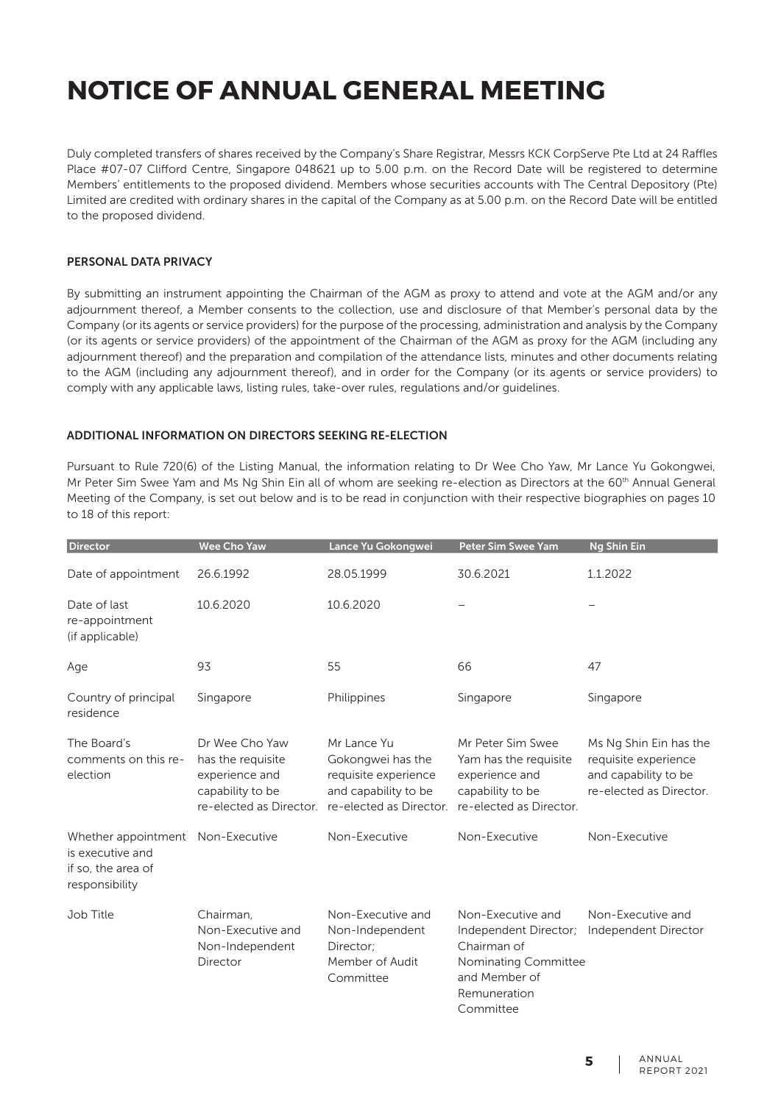Duly completed transfers of shares received by the Company's Share Registrar, Messrs KCK CorpServe Pte Ltd at 24 Raffles Place #07-07 Clifford Centre, Singapore 048621 up to 5.00 p.m. on the Record Date will be registered to determine Members' entitlements to the proposed dividend. Members whose securities accounts with The Central Depository (Pte) Limited are credited with ordinary shares in the capital of the Company as at 5.00 p.m. on the Record Date will be entitled to the proposed dividend.

#### PERSONAL DATA PRIVACY

By submitting an instrument appointing the Chairman of the AGM as proxy to attend and vote at the AGM and/or any adjournment thereof, a Member consents to the collection, use and disclosure of that Member's personal data by the Company (or its agents or service providers) for the purpose of the processing, administration and analysis by the Company (or its agents or service providers) of the appointment of the Chairman of the AGM as proxy for the AGM (including any adjournment thereof) and the preparation and compilation of the attendance lists, minutes and other documents relating to the AGM (including any adjournment thereof), and in order for the Company (or its agents or service providers) to comply with any applicable laws, listing rules, take-over rules, regulations and/or guidelines.

### ADDITIONAL INFORMATION ON DIRECTORS SEEKING RE-ELECTION

Pursuant to Rule 720(6) of the Listing Manual, the information relating to Dr Wee Cho Yaw, Mr Lance Yu Gokongwei, Mr Peter Sim Swee Yam and Ms Ng Shin Ein all of whom are seeking re-election as Directors at the 60th Annual General Meeting of the Company, is set out below and is to be read in conjunction with their respective biographies on pages 10 to 18 of this report:

| <b>Director</b>                                                                               | <b>Wee Cho Yaw</b>                                                                                   | Lance Yu Gokongwei                                                                                          | Peter Sim Swee Yam                                                                                                              | <b>Ng Shin Ein</b>                                                                                |
|-----------------------------------------------------------------------------------------------|------------------------------------------------------------------------------------------------------|-------------------------------------------------------------------------------------------------------------|---------------------------------------------------------------------------------------------------------------------------------|---------------------------------------------------------------------------------------------------|
| Date of appointment                                                                           | 26.6.1992                                                                                            | 28.05.1999                                                                                                  | 30.6.2021                                                                                                                       | 1.1.2022                                                                                          |
| Date of last<br>re-appointment<br>(if applicable)                                             | 10.6.2020                                                                                            | 10.6.2020                                                                                                   | $\overline{\phantom{0}}$                                                                                                        |                                                                                                   |
| Age                                                                                           | 93                                                                                                   | 55                                                                                                          | 66                                                                                                                              | 47                                                                                                |
| Country of principal<br>residence                                                             | Singapore                                                                                            | Philippines                                                                                                 | Singapore                                                                                                                       | Singapore                                                                                         |
| The Board's<br>comments on this re-<br>election                                               | Dr Wee Cho Yaw<br>has the requisite<br>experience and<br>capability to be<br>re-elected as Director. | Mr Lance Yu<br>Gokongwei has the<br>requisite experience<br>and capability to be<br>re-elected as Director. | Mr Peter Sim Swee<br>Yam has the requisite<br>experience and<br>capability to be<br>re-elected as Director.                     | Ms Ng Shin Ein has the<br>requisite experience<br>and capability to be<br>re-elected as Director. |
| Whether appointment Non-Executive<br>is executive and<br>if so, the area of<br>responsibility |                                                                                                      | Non-Executive                                                                                               | Non-Executive                                                                                                                   | Non-Executive                                                                                     |
| Job Title                                                                                     | Chairman.<br>Non-Executive and<br>Non-Independent<br>Director                                        | Non-Executive and<br>Non-Independent<br>Director:<br>Member of Audit<br>Committee                           | Non-Executive and<br>Independent Director;<br>Chairman of<br>Nominating Committee<br>and Member of<br>Remuneration<br>Committee | Non-Executive and<br>Independent Director                                                         |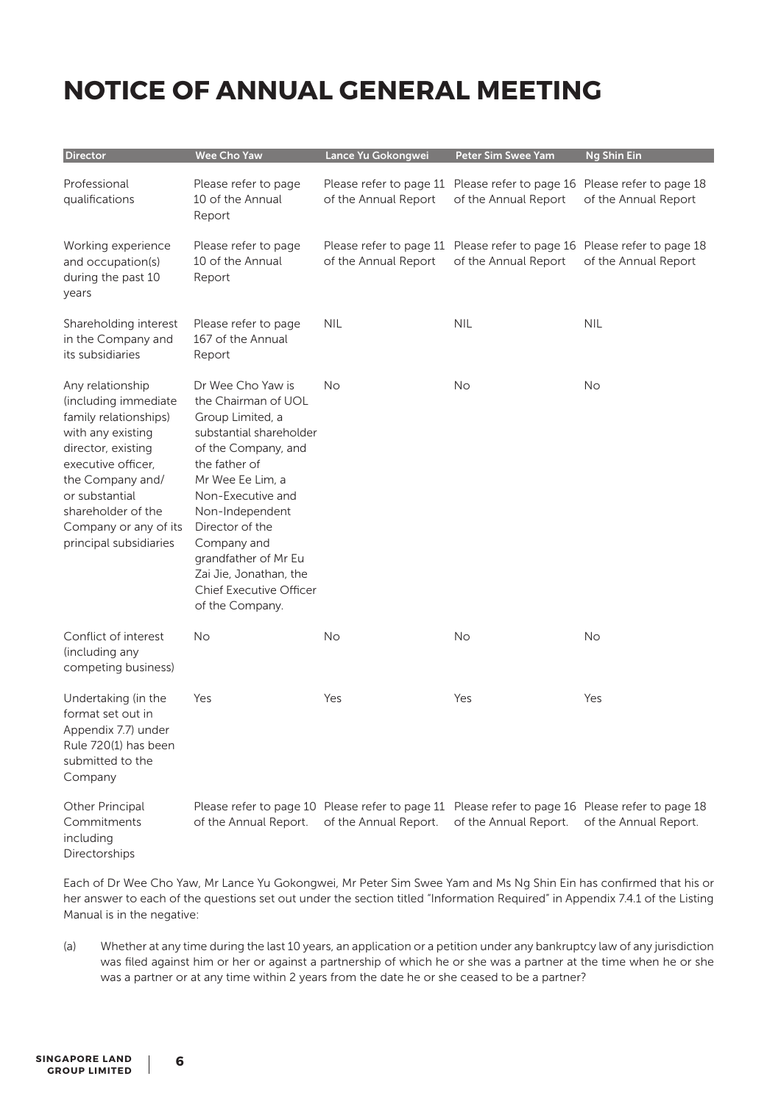| Director                                                                                                                                                                                                                                          | Wee Cho Yaw                                                                                                                                                                                                                                                                                                                          | Lance Yu Gokongwei    | <b>Peter Sim Swee Yam</b>                                                                                                | <b>Ng Shin Ein</b>    |
|---------------------------------------------------------------------------------------------------------------------------------------------------------------------------------------------------------------------------------------------------|--------------------------------------------------------------------------------------------------------------------------------------------------------------------------------------------------------------------------------------------------------------------------------------------------------------------------------------|-----------------------|--------------------------------------------------------------------------------------------------------------------------|-----------------------|
| Professional<br>qualifications                                                                                                                                                                                                                    | Please refer to page<br>10 of the Annual<br>Report                                                                                                                                                                                                                                                                                   | of the Annual Report  | Please refer to page 11 Please refer to page 16 Please refer to page 18<br>of the Annual Report                          | of the Annual Report  |
| Working experience<br>and occupation(s)<br>during the past 10<br>years                                                                                                                                                                            | Please refer to page<br>10 of the Annual<br>Report                                                                                                                                                                                                                                                                                   | of the Annual Report  | Please refer to page 11 Please refer to page 16 Please refer to page 18<br>of the Annual Report                          | of the Annual Report  |
| Shareholding interest<br>in the Company and<br>its subsidiaries                                                                                                                                                                                   | Please refer to page<br>167 of the Annual<br>Report                                                                                                                                                                                                                                                                                  | <b>NIL</b>            | <b>NIL</b>                                                                                                               | <b>NIL</b>            |
| Any relationship<br>(including immediate<br>family relationships)<br>with any existing<br>director, existing<br>executive officer,<br>the Company and/<br>or substantial<br>shareholder of the<br>Company or any of its<br>principal subsidiaries | Dr Wee Cho Yaw is<br>the Chairman of UOL<br>Group Limited, a<br>substantial shareholder<br>of the Company, and<br>the father of<br>Mr Wee Ee Lim, a<br>Non-Executive and<br>Non-Independent<br>Director of the<br>Company and<br>grandfather of Mr Eu<br>Zai Jie, Jonathan, the<br><b>Chief Executive Officer</b><br>of the Company. | No                    | <b>No</b>                                                                                                                | No                    |
| Conflict of interest<br>(including any<br>competing business)                                                                                                                                                                                     | <b>No</b>                                                                                                                                                                                                                                                                                                                            | No                    | <b>No</b>                                                                                                                | No                    |
| Undertaking (in the<br>format set out in<br>Appendix 7.7) under<br>Rule 720(1) has been<br>submitted to the<br>Company                                                                                                                            | Yes                                                                                                                                                                                                                                                                                                                                  | Yes                   | Yes                                                                                                                      | Yes                   |
| Other Principal<br>Commitments<br>including<br>Directorships                                                                                                                                                                                      | of the Annual Report.                                                                                                                                                                                                                                                                                                                | of the Annual Report. | Please refer to page 10 Please refer to page 11 Please refer to page 16 Please refer to page 18<br>of the Annual Report. | of the Annual Report. |

Each of Dr Wee Cho Yaw, Mr Lance Yu Gokongwei, Mr Peter Sim Swee Yam and Ms Ng Shin Ein has confirmed that his or her answer to each of the questions set out under the section titled "Information Required" in Appendix 7.4.1 of the Listing Manual is in the negative:

(a) Whether at any time during the last 10 years, an application or a petition under any bankruptcy law of any jurisdiction was filed against him or her or against a partnership of which he or she was a partner at the time when he or she was a partner or at any time within 2 years from the date he or she ceased to be a partner?